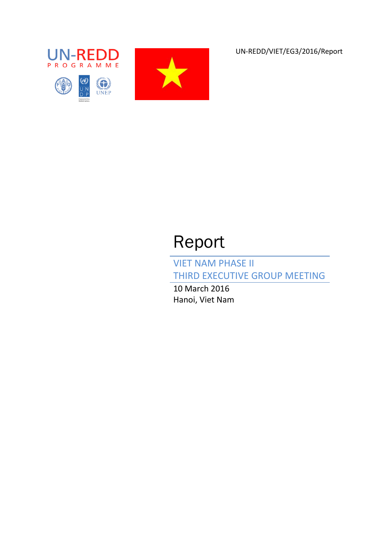UN-REDD/VIET/EG3/2016/Report









# Report

VIET NAM PHASE II THIRD EXECUTIVE GROUP MEETING

10 March 2016 Hanoi, Viet Nam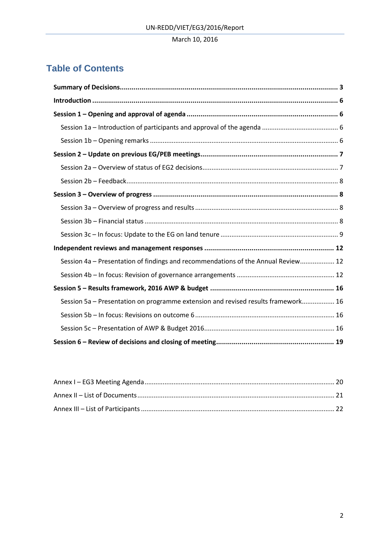# **Table of Contents**

| Session 4a - Presentation of findings and recommendations of the Annual Review 12 |
|-----------------------------------------------------------------------------------|
|                                                                                   |
|                                                                                   |
| Session 5a - Presentation on programme extension and revised results framework 16 |
|                                                                                   |
|                                                                                   |
|                                                                                   |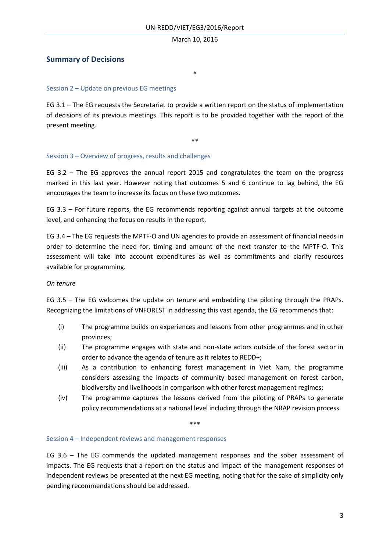\*

# <span id="page-2-0"></span>**Summary of Decisions**

#### Session 2 – Update on previous EG meetings

EG 3.1 – The EG requests the Secretariat to provide a written report on the status of implementation of decisions of its previous meetings. This report is to be provided together with the report of the present meeting.

\*\*

#### Session 3 – Overview of progress, results and challenges

EG 3.2 – The EG approves the annual report 2015 and congratulates the team on the progress marked in this last year. However noting that outcomes 5 and 6 continue to lag behind, the EG encourages the team to increase its focus on these two outcomes.

EG 3.3 – For future reports, the EG recommends reporting against annual targets at the outcome level, and enhancing the focus on results in the report.

EG 3.4 – The EG requests the MPTF-O and UN agencies to provide an assessment of financial needs in order to determine the need for, timing and amount of the next transfer to the MPTF-O. This assessment will take into account expenditures as well as commitments and clarify resources available for programming.

#### *On tenure*

EG 3.5 – The EG welcomes the update on tenure and embedding the piloting through the PRAPs. Recognizing the limitations of VNFOREST in addressing this vast agenda, the EG recommends that:

- (i) The programme builds on experiences and lessons from other programmes and in other provinces;
- (ii) The programme engages with state and non-state actors outside of the forest sector in order to advance the agenda of tenure as it relates to REDD+;
- (iii) As a contribution to enhancing forest management in Viet Nam, the programme considers assessing the impacts of community based management on forest carbon, biodiversity and livelihoods in comparison with other forest management regimes;
- (iv) The programme captures the lessons derived from the piloting of PRAPs to generate policy recommendations at a national level including through the NRAP revision process.

\*\*\*

#### Session 4 – Independent reviews and management responses

EG 3.6 – The EG commends the updated management responses and the sober assessment of impacts. The EG requests that a report on the status and impact of the management responses of independent reviews be presented at the next EG meeting, noting that for the sake of simplicity only pending recommendations should be addressed.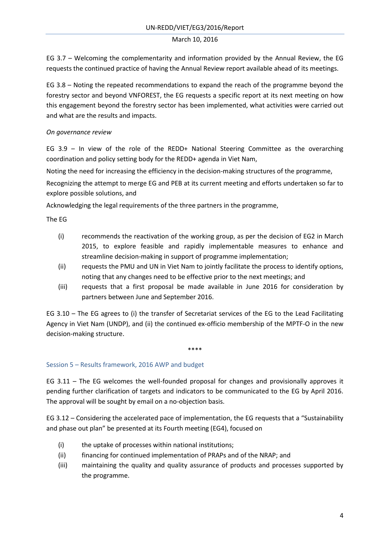EG 3.7 – Welcoming the complementarity and information provided by the Annual Review, the EG requests the continued practice of having the Annual Review report available ahead of its meetings.

EG 3.8 – Noting the repeated recommendations to expand the reach of the programme beyond the forestry sector and beyond VNFOREST, the EG requests a specific report at its next meeting on how this engagement beyond the forestry sector has been implemented, what activities were carried out and what are the results and impacts.

#### *On governance review*

EG 3.9 – In view of the role of the REDD+ National Steering Committee as the overarching coordination and policy setting body for the REDD+ agenda in Viet Nam,

Noting the need for increasing the efficiency in the decision-making structures of the programme,

Recognizing the attempt to merge EG and PEB at its current meeting and efforts undertaken so far to explore possible solutions, and

Acknowledging the legal requirements of the three partners in the programme,

The EG

- (i) recommends the reactivation of the working group, as per the decision of EG2 in March 2015, to explore feasible and rapidly implementable measures to enhance and streamline decision-making in support of programme implementation;
- (ii) requests the PMU and UN in Viet Nam to jointly facilitate the process to identify options, noting that any changes need to be effective prior to the next meetings; and
- (iii) requests that a first proposal be made available in June 2016 for consideration by partners between June and September 2016.

EG 3.10 – The EG agrees to (i) the transfer of Secretariat services of the EG to the Lead Facilitating Agency in Viet Nam (UNDP), and (ii) the continued ex-officio membership of the MPTF-O in the new decision-making structure.

#### \*\*\*\*

### Session 5 – Results framework, 2016 AWP and budget

EG 3.11 – The EG welcomes the well-founded proposal for changes and provisionally approves it pending further clarification of targets and indicators to be communicated to the EG by April 2016. The approval will be sought by email on a no-objection basis.

EG 3.12 – Considering the accelerated pace of implementation, the EG requests that a "Sustainability and phase out plan" be presented at its Fourth meeting (EG4), focused on

- (i) the uptake of processes within national institutions;
- (ii) financing for continued implementation of PRAPs and of the NRAP; and
- (iii) maintaining the quality and quality assurance of products and processes supported by the programme.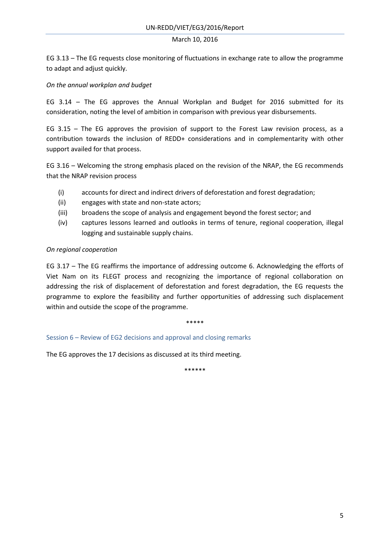EG 3.13 – The EG requests close monitoring of fluctuations in exchange rate to allow the programme to adapt and adjust quickly.

#### *On the annual workplan and budget*

EG 3.14 – The EG approves the Annual Workplan and Budget for 2016 submitted for its consideration, noting the level of ambition in comparison with previous year disbursements.

EG 3.15 – The EG approves the provision of support to the Forest Law revision process, as a contribution towards the inclusion of REDD+ considerations and in complementarity with other support availed for that process.

EG 3.16 – Welcoming the strong emphasis placed on the revision of the NRAP, the EG recommends that the NRAP revision process

- (i) accounts for direct and indirect drivers of deforestation and forest degradation;
- (ii) engages with state and non-state actors;
- (iii) broadens the scope of analysis and engagement beyond the forest sector; and
- (iv) captures lessons learned and outlooks in terms of tenure, regional cooperation, illegal logging and sustainable supply chains.

#### *On regional cooperation*

EG 3.17 – The EG reaffirms the importance of addressing outcome 6. Acknowledging the efforts of Viet Nam on its FLEGT process and recognizing the importance of regional collaboration on addressing the risk of displacement of deforestation and forest degradation, the EG requests the programme to explore the feasibility and further opportunities of addressing such displacement within and outside the scope of the programme.

\*\*\*\*\*

Session 6 – Review of EG2 decisions and approval and closing remarks

The EG approves the 17 decisions as discussed at its third meeting.

\*\*\*\*\*\*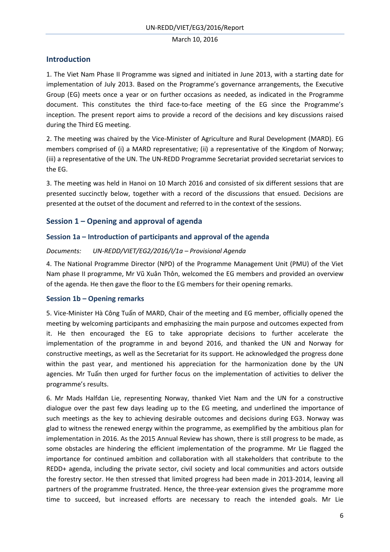# <span id="page-5-0"></span>**Introduction**

1. The Viet Nam Phase II Programme was signed and initiated in June 2013, with a starting date for implementation of July 2013. Based on the Programme's governance arrangements, the Executive Group (EG) meets once a year or on further occasions as needed, as indicated in the Programme document. This constitutes the third face-to-face meeting of the EG since the Programme's inception. The present report aims to provide a record of the decisions and key discussions raised during the Third EG meeting.

2. The meeting was chaired by the Vice-Minister of Agriculture and Rural Development (MARD). EG members comprised of (i) a MARD representative; (ii) a representative of the Kingdom of Norway; (iii) a representative of the UN. The UN-REDD Programme Secretariat provided secretariat services to the EG.

3. The meeting was held in Hanoi on 10 March 2016 and consisted of six different sessions that are presented succinctly below, together with a record of the discussions that ensued. Decisions are presented at the outset of the document and referred to in the context of the sessions.

# <span id="page-5-1"></span>**Session 1 – Opening and approval of agenda**

### <span id="page-5-2"></span>**Session 1a – Introduction of participants and approval of the agenda**

#### *Documents: UN-REDD/VIET/EG2/2016/I/1a – Provisional Agenda*

4. The National Programme Director (NPD) of the Programme Management Unit (PMU) of the Viet Nam phase II programme, Mr Vũ Xuân Thôn, welcomed the EG members and provided an overview of the agenda. He then gave the floor to the EG members for their opening remarks.

#### <span id="page-5-3"></span>**Session 1b – Opening remarks**

5. Vice-Minister Hà Công Tuấn of MARD, Chair of the meeting and EG member, officially opened the meeting by welcoming participants and emphasizing the main purpose and outcomes expected from it. He then encouraged the EG to take appropriate decisions to further accelerate the implementation of the programme in and beyond 2016, and thanked the UN and Norway for constructive meetings, as well as the Secretariat for its support. He acknowledged the progress done within the past year, and mentioned his appreciation for the harmonization done by the UN agencies. Mr Tuấn then urged for further focus on the implementation of activities to deliver the programme's results.

6. Mr Mads Halfdan Lie, representing Norway, thanked Viet Nam and the UN for a constructive dialogue over the past few days leading up to the EG meeting, and underlined the importance of such meetings as the key to achieving desirable outcomes and decisions during EG3. Norway was glad to witness the renewed energy within the programme, as exemplified by the ambitious plan for implementation in 2016. As the 2015 Annual Review has shown, there is still progress to be made, as some obstacles are hindering the efficient implementation of the programme. Mr Lie flagged the importance for continued ambition and collaboration with all stakeholders that contribute to the REDD+ agenda, including the private sector, civil society and local communities and actors outside the forestry sector. He then stressed that limited progress had been made in 2013-2014, leaving all partners of the programme frustrated. Hence, the three-year extension gives the programme more time to succeed, but increased efforts are necessary to reach the intended goals. Mr Lie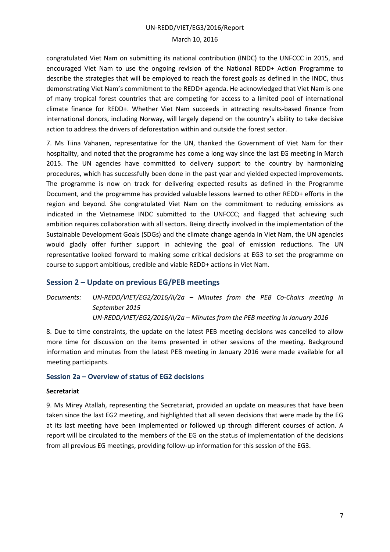congratulated Viet Nam on submitting its national contribution (INDC) to the UNFCCC in 2015, and encouraged Viet Nam to use the ongoing revision of the National REDD+ Action Programme to describe the strategies that will be employed to reach the forest goals as defined in the INDC, thus demonstrating Viet Nam's commitment to the REDD+ agenda. He acknowledged that Viet Nam is one of many tropical forest countries that are competing for access to a limited pool of international climate finance for REDD+. Whether Viet Nam succeeds in attracting results-based finance from international donors, including Norway, will largely depend on the country's ability to take decisive action to address the drivers of deforestation within and outside the forest sector.

7. Ms Tiina Vahanen, representative for the UN, thanked the Government of Viet Nam for their hospitality, and noted that the programme has come a long way since the last EG meeting in March 2015. The UN agencies have committed to delivery support to the country by harmonizing procedures, which has successfully been done in the past year and yielded expected improvements. The programme is now on track for delivering expected results as defined in the Programme Document, and the programme has provided valuable lessons learned to other REDD+ efforts in the region and beyond. She congratulated Viet Nam on the commitment to reducing emissions as indicated in the Vietnamese INDC submitted to the UNFCCC; and flagged that achieving such ambition requires collaboration with all sectors. Being directly involved in the implementation of the Sustainable Development Goals (SDGs) and the climate change agenda in Viet Nam, the UN agencies would gladly offer further support in achieving the goal of emission reductions. The UN representative looked forward to making some critical decisions at EG3 to set the programme on course to support ambitious, credible and viable REDD+ actions in Viet Nam.

# <span id="page-6-0"></span>**Session 2 – Update on previous EG/PEB meetings**

*Documents: UN-REDD/VIET/EG2/2016/II/2a – Minutes from the PEB Co-Chairs meeting in September 2015 UN-REDD/VIET/EG2/2016/II/2a – Minutes from the PEB meeting in January 2016*

8. Due to time constraints, the update on the latest PEB meeting decisions was cancelled to allow more time for discussion on the items presented in other sessions of the meeting. Background information and minutes from the latest PEB meeting in January 2016 were made available for all meeting participants.

### <span id="page-6-1"></span>**Session 2a – Overview of status of EG2 decisions**

#### **Secretariat**

<span id="page-6-2"></span>9. Ms Mirey Atallah, representing the Secretariat, provided an update on measures that have been taken since the last EG2 meeting, and highlighted that all seven decisions that were made by the EG at its last meeting have been implemented or followed up through different courses of action. A report will be circulated to the members of the EG on the status of implementation of the decisions from all previous EG meetings, providing follow-up information for this session of the EG3.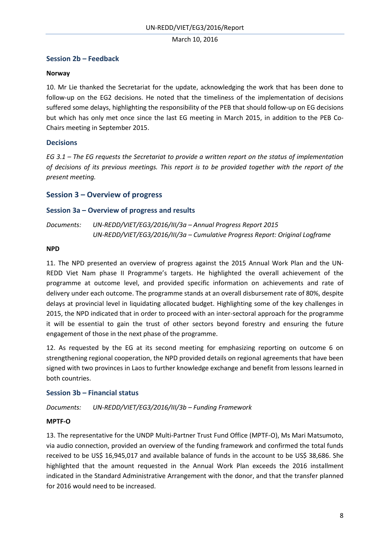# **Session 2b – Feedback**

#### **Norway**

10. Mr Lie thanked the Secretariat for the update, acknowledging the work that has been done to follow-up on the EG2 decisions. He noted that the timeliness of the implementation of decisions suffered some delays, highlighting the responsibility of the PEB that should follow-up on EG decisions but which has only met once since the last EG meeting in March 2015, in addition to the PEB Co-Chairs meeting in September 2015.

# **Decisions**

*EG 3.1 – The EG requests the Secretariat to provide a written report on the status of implementation of decisions of its previous meetings. This report is to be provided together with the report of the present meeting.* 

# <span id="page-7-0"></span>**Session 3 – Overview of progress**

### <span id="page-7-1"></span>**Session 3a – Overview of progress and results**

*Documents: UN-REDD/VIET/EG3/2016/III/3a – Annual Progress Report 2015 UN-REDD/VIET/EG3/2016/III/3a – Cumulative Progress Report: Original Logframe*

#### **NPD**

11. The NPD presented an overview of progress against the 2015 Annual Work Plan and the UN-REDD Viet Nam phase II Programme's targets. He highlighted the overall achievement of the programme at outcome level, and provided specific information on achievements and rate of delivery under each outcome. The programme stands at an overall disbursement rate of 80%, despite delays at provincial level in liquidating allocated budget. Highlighting some of the key challenges in 2015, the NPD indicated that in order to proceed with an inter-sectoral approach for the programme it will be essential to gain the trust of other sectors beyond forestry and ensuring the future engagement of those in the next phase of the programme.

12. As requested by the EG at its second meeting for emphasizing reporting on outcome 6 on strengthening regional cooperation, the NPD provided details on regional agreements that have been signed with two provinces in Laos to further knowledge exchange and benefit from lessons learned in both countries.

### <span id="page-7-2"></span>**Session 3b – Financial status**

*Documents: UN-REDD/VIET/EG3/2016/III/3b – Funding Framework*

### **MPTF-O**

13. The representative for the UNDP Multi-Partner Trust Fund Office (MPTF-O), Ms Mari Matsumoto, via audio connection, provided an overview of the funding framework and confirmed the total funds received to be US\$ 16,945,017 and available balance of funds in the account to be US\$ 38,686. She highlighted that the amount requested in the Annual Work Plan exceeds the 2016 installment indicated in the Standard Administrative Arrangement with the donor, and that the transfer planned for 2016 would need to be increased.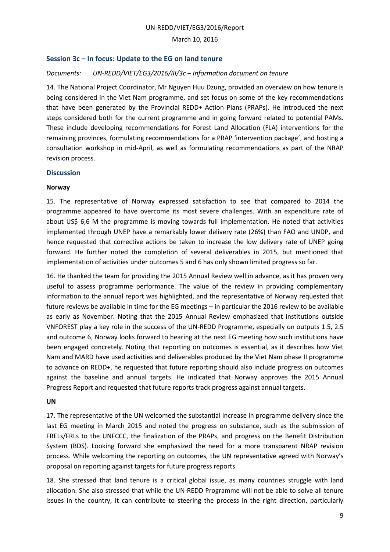#### <span id="page-8-0"></span>**Session 3c – In focus: Update to the EG on land tenure**

#### *Documents: UN-REDD/VIET/EG3/2016/III/3c – Information document on tenure*

14. The National Project Coordinator, Mr Nguyen Huu Dzung, provided an overview on how tenure is being considered in the Viet Nam programme, and set focus on some of the key recommendations that have been generated by the Provincial REDD+ Action Plans (PRAPs). He introduced the next steps considered both for the current programme and in going forward related to potential PAMs. These include developing recommendations for Forest Land Allocation (FLA) interventions for the remaining provinces, formulating recommendations for a PRAP 'intervention package', and hosting a consultation workshop in mid-April, as well as formulating recommendations as part of the NRAP revision process.

#### **Discussion**

#### **Norway**

15. The representative of Norway expressed satisfaction to see that compared to 2014 the programme appeared to have overcome its most severe challenges. With an expenditure rate of about US\$ 6,6 M the programme is moving towards full implementation. He noted that activities implemented through UNEP have a remarkably lower delivery rate (26%) than FAO and UNDP, and hence requested that corrective actions be taken to increase the low delivery rate of UNEP going forward. He further noted the completion of several deliverables in 2015, but mentioned that implementation of activities under outcomes 5 and 6 has only shown limited progress so far.

16. He thanked the team for providing the 2015 Annual Review well in advance, as it has proven very useful to assess programme performance. The value of the review in providing complementary information to the annual report was highlighted, and the representative of Norway requested that future reviews be available in time for the EG meetings – in particular the 2016 review to be available as early as November. Noting that the 2015 Annual Review emphasized that institutions outside VNFOREST play a key role in the success of the UN-REDD Programme, especially on outputs 1.5, 2.5 and outcome 6, Norway looks forward to hearing at the next EG meeting how such institutions have been engaged concretely. Noting that reporting on outcomes is essential, as it describes how Viet Nam and MARD have used activities and deliverables produced by the Viet Nam phase II programme to advance on REDD+, he requested that future reporting should also include progress on outcomes against the baseline and annual targets. He indicated that Norway approves the 2015 Annual Progress Report and requested that future reports track progress against annual targets.

#### **UN**

17. The representative of the UN welcomed the substantial increase in programme delivery since the last EG meeting in March 2015 and noted the progress on substance, such as the submission of FRELs/FRLs to the UNFCCC, the finalization of the PRAPs, and progress on the Benefit Distribution System (BDS). Looking forward she emphasized the need for a more transparent NRAP revision process. While welcoming the reporting on outcomes, the UN representative agreed with Norway's proposal on reporting against targets for future progress reports.

18. She stressed that land tenure is a critical global issue, as many countries struggle with land allocation. She also stressed that while the UN-REDD Programme will not be able to solve all tenure issues in the country, it can contribute to steering the process in the right direction, particularly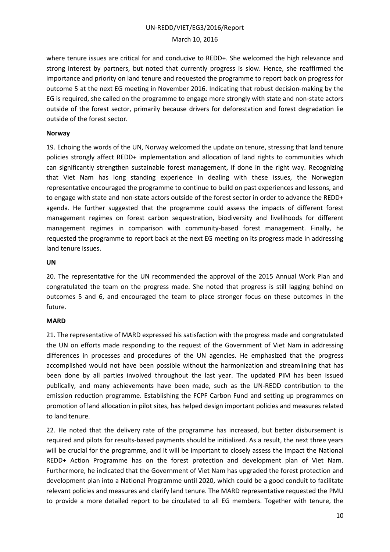where tenure issues are critical for and conducive to REDD+. She welcomed the high relevance and strong interest by partners, but noted that currently progress is slow. Hence, she reaffirmed the importance and priority on land tenure and requested the programme to report back on progress for outcome 5 at the next EG meeting in November 2016. Indicating that robust decision-making by the EG is required, she called on the programme to engage more strongly with state and non-state actors outside of the forest sector, primarily because drivers for deforestation and forest degradation lie outside of the forest sector.

#### **Norway**

19. Echoing the words of the UN, Norway welcomed the update on tenure, stressing that land tenure policies strongly affect REDD+ implementation and allocation of land rights to communities which can significantly strengthen sustainable forest management, if done in the right way. Recognizing that Viet Nam has long standing experience in dealing with these issues, the Norwegian representative encouraged the programme to continue to build on past experiences and lessons, and to engage with state and non-state actors outside of the forest sector in order to advance the REDD+ agenda. He further suggested that the programme could assess the impacts of different forest management regimes on forest carbon sequestration, biodiversity and livelihoods for different management regimes in comparison with community-based forest management. Finally, he requested the programme to report back at the next EG meeting on its progress made in addressing land tenure issues.

#### **UN**

20. The representative for the UN recommended the approval of the 2015 Annual Work Plan and congratulated the team on the progress made. She noted that progress is still lagging behind on outcomes 5 and 6, and encouraged the team to place stronger focus on these outcomes in the future.

#### **MARD**

21. The representative of MARD expressed his satisfaction with the progress made and congratulated the UN on efforts made responding to the request of the Government of Viet Nam in addressing differences in processes and procedures of the UN agencies. He emphasized that the progress accomplished would not have been possible without the harmonization and streamlining that has been done by all parties involved throughout the last year. The updated PIM has been issued publically, and many achievements have been made, such as the UN-REDD contribution to the emission reduction programme. Establishing the FCPF Carbon Fund and setting up programmes on promotion of land allocation in pilot sites, has helped design important policies and measures related to land tenure.

22. He noted that the delivery rate of the programme has increased, but better disbursement is required and pilots for results-based payments should be initialized. As a result, the next three years will be crucial for the programme, and it will be important to closely assess the impact the National REDD+ Action Programme has on the forest protection and development plan of Viet Nam. Furthermore, he indicated that the Government of Viet Nam has upgraded the forest protection and development plan into a National Programme until 2020, which could be a good conduit to facilitate relevant policies and measures and clarify land tenure. The MARD representative requested the PMU to provide a more detailed report to be circulated to all EG members. Together with tenure, the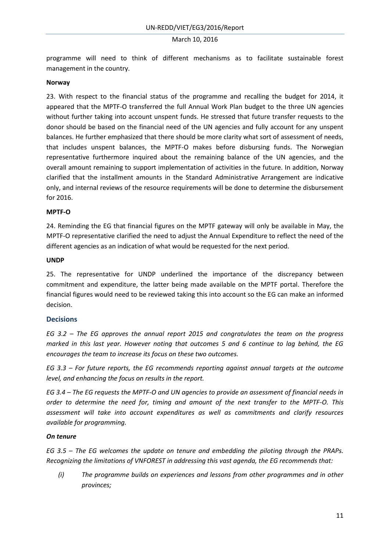programme will need to think of different mechanisms as to facilitate sustainable forest management in the country.

#### **Norway**

23. With respect to the financial status of the programme and recalling the budget for 2014, it appeared that the MPTF-O transferred the full Annual Work Plan budget to the three UN agencies without further taking into account unspent funds. He stressed that future transfer requests to the donor should be based on the financial need of the UN agencies and fully account for any unspent balances. He further emphasized that there should be more clarity what sort of assessment of needs, that includes unspent balances, the MPTF-O makes before disbursing funds. The Norwegian representative furthermore inquired about the remaining balance of the UN agencies, and the overall amount remaining to support implementation of activities in the future. In addition, Norway clarified that the installment amounts in the Standard Administrative Arrangement are indicative only, and internal reviews of the resource requirements will be done to determine the disbursement for 2016.

#### **MPTF-O**

24. Reminding the EG that financial figures on the MPTF gateway will only be available in May, the MPTF-O representative clarified the need to adjust the Annual Expenditure to reflect the need of the different agencies as an indication of what would be requested for the next period.

#### **UNDP**

25. The representative for UNDP underlined the importance of the discrepancy between commitment and expenditure, the latter being made available on the MPTF portal. Therefore the financial figures would need to be reviewed taking this into account so the EG can make an informed decision.

#### **Decisions**

*EG 3.2 – The EG approves the annual report 2015 and congratulates the team on the progress marked in this last year. However noting that outcomes 5 and 6 continue to lag behind, the EG encourages the team to increase its focus on these two outcomes.* 

*EG 3.3 – For future reports, the EG recommends reporting against annual targets at the outcome level, and enhancing the focus on results in the report.* 

*EG 3.4 – The EG requests the MPTF-O and UN agencies to provide an assessment of financial needs in order to determine the need for, timing and amount of the next transfer to the MPTF-O. This assessment will take into account expenditures as well as commitments and clarify resources available for programming.* 

#### *On tenure*

*EG 3.5 – The EG welcomes the update on tenure and embedding the piloting through the PRAPs. Recognizing the limitations of VNFOREST in addressing this vast agenda, the EG recommends that:*

*(i) The programme builds on experiences and lessons from other programmes and in other provinces;*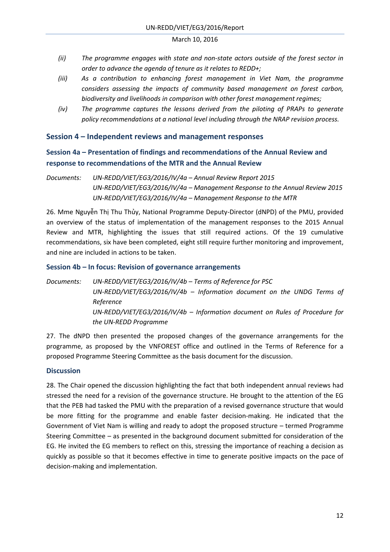- *(ii) The programme engages with state and non-state actors outside of the forest sector in order to advance the agenda of tenure as it relates to REDD+;*
- *(iii) As a contribution to enhancing forest management in Viet Nam, the programme considers assessing the impacts of community based management on forest carbon, biodiversity and livelihoods in comparison with other forest management regimes;*
- *(iv) The programme captures the lessons derived from the piloting of PRAPs to generate policy recommendations at a national level including through the NRAP revision process.*

### <span id="page-11-0"></span>**Session 4 – Independent reviews and management responses**

# <span id="page-11-1"></span>**Session 4a – Presentation of findings and recommendations of the Annual Review and response to recommendations of the MTR and the Annual Review**

*Documents: UN-REDD/VIET/EG3/2016/IV/4a – Annual Review Report 2015 UN-REDD/VIET/EG3/2016/IV/4a – Management Response to the Annual Review 2015 UN-REDD/VIET/EG3/2016/IV/4a – Management Response to the MTR*

26. Mme Nguyễn Thị Thu Thủy, National Programme Deputy-Director (dNPD) of the PMU, provided an overview of the status of implementation of the management responses to the 2015 Annual Review and MTR, highlighting the issues that still required actions. Of the 19 cumulative recommendations, six have been completed, eight still require further monitoring and improvement, and nine are included in actions to be taken.

#### <span id="page-11-2"></span>**Session 4b – In focus: Revision of governance arrangements**

*Documents: UN-REDD/VIET/EG3/2016/IV/4b – Terms of Reference for PSC UN-REDD/VIET/EG3/2016/IV/4b – Information document on the UNDG Terms of Reference UN-REDD/VIET/EG3/2016/IV/4b – Information document on Rules of Procedure for the UN-REDD Programme*

27. The dNPD then presented the proposed changes of the governance arrangements for the programme, as proposed by the VNFOREST office and outlined in the Terms of Reference for a proposed Programme Steering Committee as the basis document for the discussion.

### **Discussion**

28. The Chair opened the discussion highlighting the fact that both independent annual reviews had stressed the need for a revision of the governance structure. He brought to the attention of the EG that the PEB had tasked the PMU with the preparation of a revised governance structure that would be more fitting for the programme and enable faster decision-making. He indicated that the Government of Viet Nam is willing and ready to adopt the proposed structure – termed Programme Steering Committee – as presented in the background document submitted for consideration of the EG. He invited the EG members to reflect on this, stressing the importance of reaching a decision as quickly as possible so that it becomes effective in time to generate positive impacts on the pace of decision-making and implementation.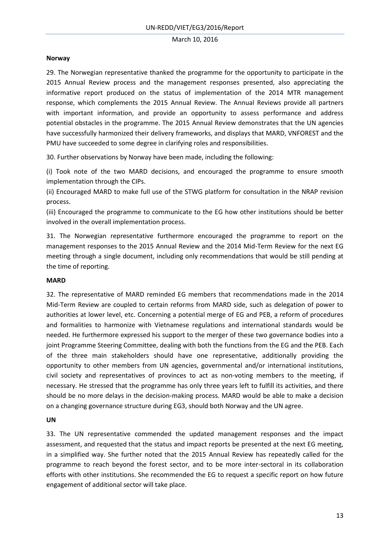#### **Norway**

29. The Norwegian representative thanked the programme for the opportunity to participate in the 2015 Annual Review process and the management responses presented, also appreciating the informative report produced on the status of implementation of the 2014 MTR management response, which complements the 2015 Annual Review. The Annual Reviews provide all partners with important information, and provide an opportunity to assess performance and address potential obstacles in the programme. The 2015 Annual Review demonstrates that the UN agencies have successfully harmonized their delivery frameworks, and displays that MARD, VNFOREST and the PMU have succeeded to some degree in clarifying roles and responsibilities.

30. Further observations by Norway have been made, including the following:

(i) Took note of the two MARD decisions, and encouraged the programme to ensure smooth implementation through the CIPs.

(ii) Encouraged MARD to make full use of the STWG platform for consultation in the NRAP revision process.

(iii) Encouraged the programme to communicate to the EG how other institutions should be better involved in the overall implementation process.

31. The Norwegian representative furthermore encouraged the programme to report on the management responses to the 2015 Annual Review and the 2014 Mid-Term Review for the next EG meeting through a single document, including only recommendations that would be still pending at the time of reporting.

#### **MARD**

32. The representative of MARD reminded EG members that recommendations made in the 2014 Mid-Term Review are coupled to certain reforms from MARD side, such as delegation of power to authorities at lower level, etc. Concerning a potential merge of EG and PEB, a reform of procedures and formalities to harmonize with Vietnamese regulations and international standards would be needed. He furthermore expressed his support to the merger of these two governance bodies into a joint Programme Steering Committee, dealing with both the functions from the EG and the PEB. Each of the three main stakeholders should have one representative, additionally providing the opportunity to other members from UN agencies, governmental and/or international institutions, civil society and representatives of provinces to act as non-voting members to the meeting, if necessary. He stressed that the programme has only three years left to fulfill its activities, and there should be no more delays in the decision-making process. MARD would be able to make a decision on a changing governance structure during EG3, should both Norway and the UN agree.

#### **UN**

33. The UN representative commended the updated management responses and the impact assessment, and requested that the status and impact reports be presented at the next EG meeting, in a simplified way. She further noted that the 2015 Annual Review has repeatedly called for the programme to reach beyond the forest sector, and to be more inter-sectoral in its collaboration efforts with other institutions. She recommended the EG to request a specific report on how future engagement of additional sector will take place.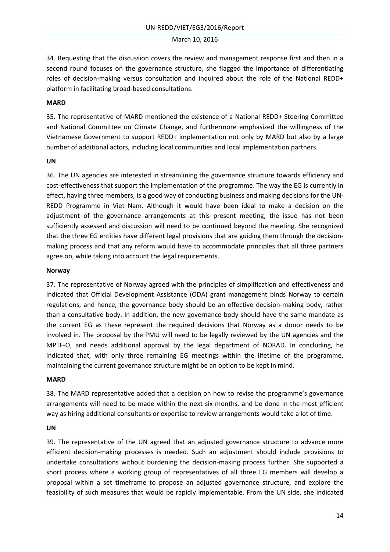34. Requesting that the discussion covers the review and management response first and then in a second round focuses on the governance structure, she flagged the importance of differentiating roles of decision-making versus consultation and inquired about the role of the National REDD+ platform in facilitating broad-based consultations.

#### **MARD**

35. The representative of MARD mentioned the existence of a National REDD+ Steering Committee and National Committee on Climate Change, and furthermore emphasized the willingness of the Vietnamese Government to support REDD+ implementation not only by MARD but also by a large number of additional actors, including local communities and local implementation partners.

#### **UN**

36. The UN agencies are interested in streamlining the governance structure towards efficiency and cost-effectiveness that support the implementation of the programme. The way the EG is currently in effect, having three members, is a good way of conducting business and making decisions for the UN-REDD Programme in Viet Nam. Although it would have been ideal to make a decision on the adjustment of the governance arrangements at this present meeting, the issue has not been sufficiently assessed and discussion will need to be continued beyond the meeting. She recognized that the three EG entities have different legal provisions that are guiding them through the decisionmaking process and that any reform would have to accommodate principles that all three partners agree on, while taking into account the legal requirements.

#### **Norway**

37. The representative of Norway agreed with the principles of simplification and effectiveness and indicated that Official Development Assistance (ODA) grant management binds Norway to certain regulations, and hence, the governance body should be an effective decision-making body, rather than a consultative body. In addition, the new governance body should have the same mandate as the current EG as these represent the required decisions that Norway as a donor needs to be involved in. The proposal by the PMU will need to be legally reviewed by the UN agencies and the MPTF-O, and needs additional approval by the legal department of NORAD. In concluding, he indicated that, with only three remaining EG meetings within the lifetime of the programme, maintaining the current governance structure might be an option to be kept in mind.

#### **MARD**

38. The MARD representative added that a decision on how to revise the programme's governance arrangements will need to be made within the next six months, and be done in the most efficient way as hiring additional consultants or expertise to review arrangements would take a lot of time.

#### **UN**

39. The representative of the UN agreed that an adjusted governance structure to advance more efficient decision-making processes is needed. Such an adjustment should include provisions to undertake consultations without burdening the decision-making process further. She supported a short process where a working group of representatives of all three EG members will develop a proposal within a set timeframe to propose an adjusted governance structure, and explore the feasibility of such measures that would be rapidly implementable. From the UN side, she indicated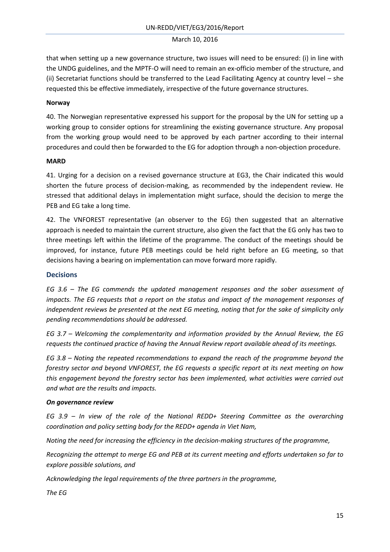that when setting up a new governance structure, two issues will need to be ensured: (i) in line with the UNDG guidelines, and the MPTF-O will need to remain an ex-officio member of the structure, and (ii) Secretariat functions should be transferred to the Lead Facilitating Agency at country level – she requested this be effective immediately, irrespective of the future governance structures.

#### **Norway**

40. The Norwegian representative expressed his support for the proposal by the UN for setting up a working group to consider options for streamlining the existing governance structure. Any proposal from the working group would need to be approved by each partner according to their internal procedures and could then be forwarded to the EG for adoption through a non-objection procedure.

#### **MARD**

41. Urging for a decision on a revised governance structure at EG3, the Chair indicated this would shorten the future process of decision-making, as recommended by the independent review. He stressed that additional delays in implementation might surface, should the decision to merge the PEB and EG take a long time.

42. The VNFOREST representative (an observer to the EG) then suggested that an alternative approach is needed to maintain the current structure, also given the fact that the EG only has two to three meetings left within the lifetime of the programme. The conduct of the meetings should be improved, for instance, future PEB meetings could be held right before an EG meeting, so that decisions having a bearing on implementation can move forward more rapidly.

#### **Decisions**

*EG 3.6 – The EG commends the updated management responses and the sober assessment of impacts. The EG requests that a report on the status and impact of the management responses of independent reviews be presented at the next EG meeting, noting that for the sake of simplicity only pending recommendations should be addressed.* 

*EG 3.7 – Welcoming the complementarity and information provided by the Annual Review, the EG requests the continued practice of having the Annual Review report available ahead of its meetings.* 

*EG 3.8 – Noting the repeated recommendations to expand the reach of the programme beyond the forestry sector and beyond VNFOREST, the EG requests a specific report at its next meeting on how this engagement beyond the forestry sector has been implemented, what activities were carried out and what are the results and impacts.* 

#### *On governance review*

*EG 3.9 – In view of the role of the National REDD+ Steering Committee as the overarching coordination and policy setting body for the REDD+ agenda in Viet Nam,* 

*Noting the need for increasing the efficiency in the decision-making structures of the programme,* 

*Recognizing the attempt to merge EG and PEB at its current meeting and efforts undertaken so far to explore possible solutions, and* 

*Acknowledging the legal requirements of the three partners in the programme,* 

*The EG*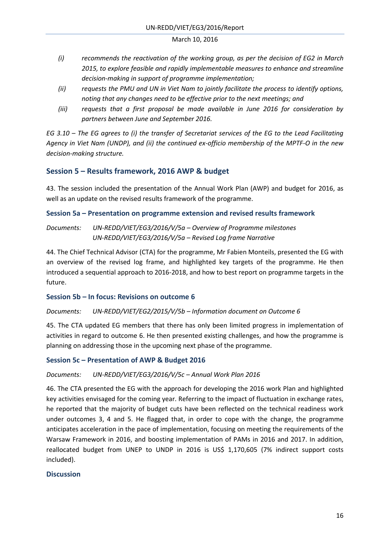- *(i) recommends the reactivation of the working group, as per the decision of EG2 in March 2015, to explore feasible and rapidly implementable measures to enhance and streamline decision-making in support of programme implementation;*
- *(ii) requests the PMU and UN in Viet Nam to jointly facilitate the process to identify options, noting that any changes need to be effective prior to the next meetings; and*
- *(iii) requests that a first proposal be made available in June 2016 for consideration by partners between June and September 2016.*

*EG 3.10 – The EG agrees to (i) the transfer of Secretariat services of the EG to the Lead Facilitating Agency in Viet Nam (UNDP), and (ii) the continued ex-officio membership of the MPTF-O in the new decision-making structure.* 

# <span id="page-15-0"></span>**Session 5 – Results framework, 2016 AWP & budget**

43. The session included the presentation of the Annual Work Plan (AWP) and budget for 2016, as well as an update on the revised results framework of the programme.

# <span id="page-15-1"></span>**Session 5a – Presentation on programme extension and revised results framework**

*Documents: UN-REDD/VIET/EG3/2016/V/5a – Overview of Programme milestones UN-REDD/VIET/EG3/2016/V/5a – Revised Log frame Narrative* 

44. The Chief Technical Advisor (CTA) for the programme, Mr Fabien Monteils, presented the EG with an overview of the revised log frame, and highlighted key targets of the programme. He then introduced a sequential approach to 2016-2018, and how to best report on programme targets in the future.

### <span id="page-15-2"></span>**Session 5b – In focus: Revisions on outcome 6**

### *Documents: UN-REDD/VIET/EG2/2015/V/5b – Information document on Outcome 6*

45. The CTA updated EG members that there has only been limited progress in implementation of activities in regard to outcome 6. He then presented existing challenges, and how the programme is planning on addressing those in the upcoming next phase of the programme.

### <span id="page-15-3"></span>**Session 5c – Presentation of AWP & Budget 2016**

### *Documents: UN-REDD/VIET/EG3/2016/V/5c – Annual Work Plan 2016*

46. The CTA presented the EG with the approach for developing the 2016 work Plan and highlighted key activities envisaged for the coming year. Referring to the impact of fluctuation in exchange rates, he reported that the majority of budget cuts have been reflected on the technical readiness work under outcomes 3, 4 and 5. He flagged that, in order to cope with the change, the programme anticipates acceleration in the pace of implementation, focusing on meeting the requirements of the Warsaw Framework in 2016, and boosting implementation of PAMs in 2016 and 2017. In addition, reallocated budget from UNEP to UNDP in 2016 is US\$ 1,170,605 (7% indirect support costs included).

### **Discussion**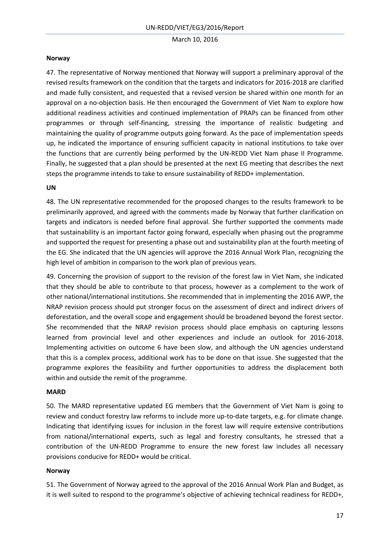#### **Norway**

47. The representative of Norway mentioned that Norway will support a preliminary approval of the revised results framework on the condition that the targets and indicators for 2016-2018 are clarified and made fully consistent, and requested that a revised version be shared within one month for an approval on a no-objection basis. He then encouraged the Government of Viet Nam to explore how additional readiness activities and continued implementation of PRAPs can be financed from other programmes or through self-financing, stressing the importance of realistic budgeting and maintaining the quality of programme outputs going forward. As the pace of implementation speeds up, he indicated the importance of ensuring sufficient capacity in national institutions to take over the functions that are currently being performed by the UN-REDD Viet Nam phase II Programme. Finally, he suggested that a plan should be presented at the next EG meeting that describes the next steps the programme intends to take to ensure sustainability of REDD+ implementation.

#### **UN**

48. The UN representative recommended for the proposed changes to the results framework to be preliminarily approved, and agreed with the comments made by Norway that further clarification on targets and indicators is needed before final approval. She further supported the comments made that sustainability is an important factor going forward, especially when phasing out the programme and supported the request for presenting a phase out and sustainability plan at the fourth meeting of the EG. She indicated that the UN agencies will approve the 2016 Annual Work Plan, recognizing the high level of ambition in comparison to the work plan of previous years.

49. Concerning the provision of support to the revision of the forest law in Viet Nam, she indicated that they should be able to contribute to that process, however as a complement to the work of other national/international institutions. She recommended that in implementing the 2016 AWP, the NRAP revision process should put stronger focus on the assessment of direct and indirect drivers of deforestation, and the overall scope and engagement should be broadened beyond the forest sector. She recommended that the NRAP revision process should place emphasis on capturing lessons learned from provincial level and other experiences and include an outlook for 2016-2018. Implementing activities on outcome 6 have been slow, and although the UN agencies understand that this is a complex process, additional work has to be done on that issue. She suggested that the programme explores the feasibility and further opportunities to address the displacement both within and outside the remit of the programme.

#### **MARD**

50. The MARD representative updated EG members that the Government of Viet Nam is going to review and conduct forestry law reforms to include more up-to-date targets, e.g. for climate change. Indicating that identifying issues for inclusion in the forest law will require extensive contributions from national/international experts, such as legal and forestry consultants, he stressed that a contribution of the UN-REDD Programme to ensure the new forest law includes all necessary provisions conducive for REDD+ would be critical.

#### **Norway**

51. The Government of Norway agreed to the approval of the 2016 Annual Work Plan and Budget, as it is well suited to respond to the programme's objective of achieving technical readiness for REDD+,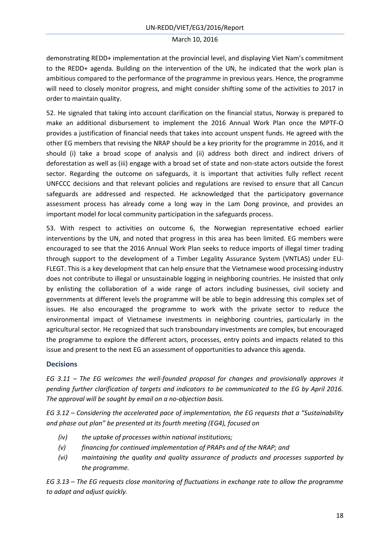demonstrating REDD+ implementation at the provincial level, and displaying Viet Nam's commitment to the REDD+ agenda. Building on the intervention of the UN, he indicated that the work plan is ambitious compared to the performance of the programme in previous years. Hence, the programme will need to closely monitor progress, and might consider shifting some of the activities to 2017 in order to maintain quality.

52. He signaled that taking into account clarification on the financial status, Norway is prepared to make an additional disbursement to implement the 2016 Annual Work Plan once the MPTF-O provides a justification of financial needs that takes into account unspent funds. He agreed with the other EG members that revising the NRAP should be a key priority for the programme in 2016, and it should (i) take a broad scope of analysis and (ii) address both direct and indirect drivers of deforestation as well as (iii) engage with a broad set of state and non-state actors outside the forest sector. Regarding the outcome on safeguards, it is important that activities fully reflect recent UNFCCC decisions and that relevant policies and regulations are revised to ensure that all Cancun safeguards are addressed and respected. He acknowledged that the participatory governance assessment process has already come a long way in the Lam Dong province, and provides an important model for local community participation in the safeguards process.

53. With respect to activities on outcome 6, the Norwegian representative echoed earlier interventions by the UN, and noted that progress in this area has been limited. EG members were encouraged to see that the 2016 Annual Work Plan seeks to reduce imports of illegal timer trading through support to the development of a Timber Legality Assurance System (VNTLAS) under EU-FLEGT. This is a key development that can help ensure that the Vietnamese wood processing industry does not contribute to illegal or unsustainable logging in neighboring countries. He insisted that only by enlisting the collaboration of a wide range of actors including businesses, civil society and governments at different levels the programme will be able to begin addressing this complex set of issues. He also encouraged the programme to work with the private sector to reduce the environmental impact of Vietnamese investments in neighboring countries, particularly in the agricultural sector. He recognized that such transboundary investments are complex, but encouraged the programme to explore the different actors, processes, entry points and impacts related to this issue and present to the next EG an assessment of opportunities to advance this agenda.

### **Decisions**

*EG 3.11 – The EG welcomes the well-founded proposal for changes and provisionally approves it pending further clarification of targets and indicators to be communicated to the EG by April 2016. The approval will be sought by email on a no-objection basis.* 

*EG 3.12 – Considering the accelerated pace of implementation, the EG requests that a "Sustainability and phase out plan" be presented at its fourth meeting (EG4), focused on* 

- *(iv) the uptake of processes within national institutions;*
- *(v) financing for continued implementation of PRAPs and of the NRAP; and*
- *(vi) maintaining the quality and quality assurance of products and processes supported by the programme.*

*EG 3.13 – The EG requests close monitoring of fluctuations in exchange rate to allow the programme to adapt and adjust quickly.*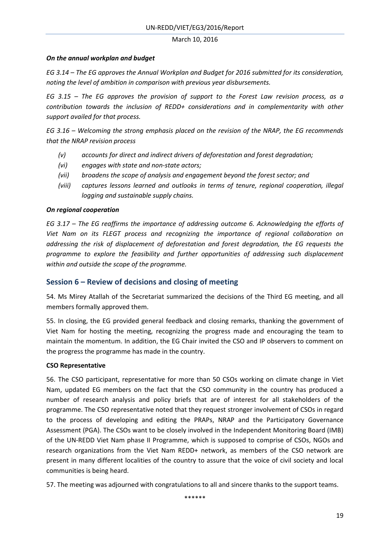#### *On the annual workplan and budget*

*EG 3.14 – The EG approves the Annual Workplan and Budget for 2016 submitted for its consideration, noting the level of ambition in comparison with previous year disbursements.* 

*EG 3.15 – The EG approves the provision of support to the Forest Law revision process, as a contribution towards the inclusion of REDD+ considerations and in complementarity with other support availed for that process.* 

*EG 3.16 – Welcoming the strong emphasis placed on the revision of the NRAP, the EG recommends that the NRAP revision process*

- *(v) accounts for direct and indirect drivers of deforestation and forest degradation;*
- *(vi) engages with state and non-state actors;*
- *(vii) broadens the scope of analysis and engagement beyond the forest sector; and*
- *(viii) captures lessons learned and outlooks in terms of tenure, regional cooperation, illegal logging and sustainable supply chains.*

#### *On regional cooperation*

*EG 3.17 – The EG reaffirms the importance of addressing outcome 6. Acknowledging the efforts of Viet Nam on its FLEGT process and recognizing the importance of regional collaboration on addressing the risk of displacement of deforestation and forest degradation, the EG requests the programme to explore the feasibility and further opportunities of addressing such displacement within and outside the scope of the programme.* 

# <span id="page-18-0"></span>**Session 6 – Review of decisions and closing of meeting**

54. Ms Mirey Atallah of the Secretariat summarized the decisions of the Third EG meeting, and all members formally approved them.

55. In closing, the EG provided general feedback and closing remarks, thanking the government of Viet Nam for hosting the meeting, recognizing the progress made and encouraging the team to maintain the momentum. In addition, the EG Chair invited the CSO and IP observers to comment on the progress the programme has made in the country.

### **CSO Representative**

56. The CSO participant, representative for more than 50 CSOs working on climate change in Viet Nam, updated EG members on the fact that the CSO community in the country has produced a number of research analysis and policy briefs that are of interest for all stakeholders of the programme. The CSO representative noted that they request stronger involvement of CSOs in regard to the process of developing and editing the PRAPs, NRAP and the Participatory Governance Assessment (PGA). The CSOs want to be closely involved in the Independent Monitoring Board (IMB) of the UN-REDD Viet Nam phase II Programme, which is supposed to comprise of CSOs, NGOs and research organizations from the Viet Nam REDD+ network, as members of the CSO network are present in many different localities of the country to assure that the voice of civil society and local communities is being heard.

<span id="page-18-1"></span>57. The meeting was adjourned with congratulations to all and sincere thanks to the support teams.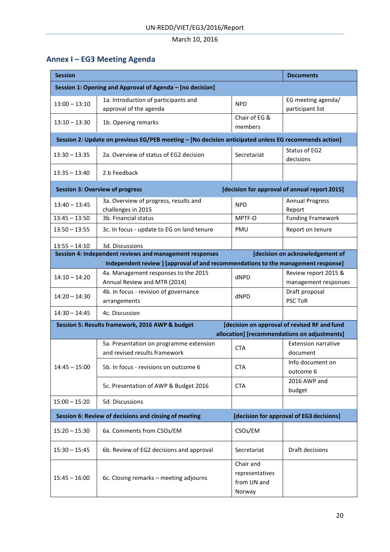# **Annex I – EG3 Meeting Agenda**

| <b>Session</b>                                                                                       |                                                                                                                                              |                                                       | <b>Documents</b>                             |  |  |
|------------------------------------------------------------------------------------------------------|----------------------------------------------------------------------------------------------------------------------------------------------|-------------------------------------------------------|----------------------------------------------|--|--|
| Session 1: Opening and Approval of Agenda - [no decision]                                            |                                                                                                                                              |                                                       |                                              |  |  |
| $13:00 - 13:10$                                                                                      | 1a. Introduction of participants and<br>approval of the agenda                                                                               | <b>NPD</b>                                            | EG meeting agenda/<br>participant list       |  |  |
| $13:10 - 13:30$                                                                                      | 1b. Opening remarks                                                                                                                          | Chair of EG &<br>members                              |                                              |  |  |
| Session 2: Update on previous EG/PEB meeting - [No decision anticipated unless EG recommends action] |                                                                                                                                              |                                                       |                                              |  |  |
| $13:30 - 13:35$                                                                                      | 2a. Overview of status of EG2 decision                                                                                                       | Secretariat                                           | Status of EG2<br>decisions                   |  |  |
| $13:35 - 13:40$                                                                                      | 2.b Feedback                                                                                                                                 |                                                       |                                              |  |  |
| [decision for approval of annual report 2015]<br><b>Session 3: Overview of progress</b>              |                                                                                                                                              |                                                       |                                              |  |  |
| $13:40 - 13:45$                                                                                      | 3a. Overview of progress, results and<br>challenges in 2015                                                                                  | <b>NPD</b>                                            | <b>Annual Progress</b><br>Report             |  |  |
| $13:45 - 13:50$                                                                                      | 3b. Financial status                                                                                                                         | MPTF-O                                                | <b>Funding Framework</b>                     |  |  |
| $13:50 - 13:55$                                                                                      | 3c. In focus - update to EG on land tenure                                                                                                   | PMU                                                   | Report on tenure                             |  |  |
| $13:55 - 14:10$                                                                                      | 3d. Discussions                                                                                                                              |                                                       |                                              |  |  |
|                                                                                                      | Session 4: Independent reviews and management responses<br>independent review ] [approval of and recommendations to the management response] |                                                       | [decision on acknowledgement of              |  |  |
|                                                                                                      | 4a. Management responses to the 2015                                                                                                         |                                                       | Review report 2015 &                         |  |  |
| $14:10 - 14:20$                                                                                      | Annual Review and MTR (2014)                                                                                                                 | dNPD                                                  | management responses                         |  |  |
| $14:20 - 14:30$                                                                                      | 4b. In focus - revision of governance<br>arrangements                                                                                        | dNPD                                                  | Draft proposal<br><b>PSC ToR</b>             |  |  |
| $14:30 - 14:45$                                                                                      | 4c. Discussion                                                                                                                               |                                                       |                                              |  |  |
|                                                                                                      | Session 5: Results framework, 2016 AWP & budget                                                                                              |                                                       | [decision on approval of revised RF and fund |  |  |
|                                                                                                      |                                                                                                                                              |                                                       | allocation] [recommendations on adjustments] |  |  |
|                                                                                                      | 5a. Presentation on programme extension<br>and revised results framework                                                                     | <b>CTA</b>                                            | <b>Extension narrative</b><br>document       |  |  |
| $14:45 - 15:00$                                                                                      | 5b. In focus - revisions on outcome 6                                                                                                        | <b>CTA</b>                                            | Info document on<br>outcome 6                |  |  |
|                                                                                                      | 5c. Presentation of AWP & Budget 2016                                                                                                        | <b>CTA</b>                                            | 2016 AWP and<br>budget                       |  |  |
| $15:00 - 15:20$                                                                                      | 5d. Discussions                                                                                                                              |                                                       |                                              |  |  |
| [decision for approval of EG3 decisions]<br>Session 6: Review of decisions and closing of meeting    |                                                                                                                                              |                                                       |                                              |  |  |
| $15:20 - 15:30$                                                                                      | 6a. Comments from CSOs/EM                                                                                                                    | CSO <sub>s</sub> /EM                                  |                                              |  |  |
| $15:30 - 15:45$                                                                                      | 6b. Review of EG2 decisions and approval                                                                                                     | Secretariat                                           | Draft decisions                              |  |  |
| $15:45 - 16:00$                                                                                      | 6c. Closing remarks - meeting adjourns                                                                                                       | Chair and<br>representatives<br>from UN and<br>Norway |                                              |  |  |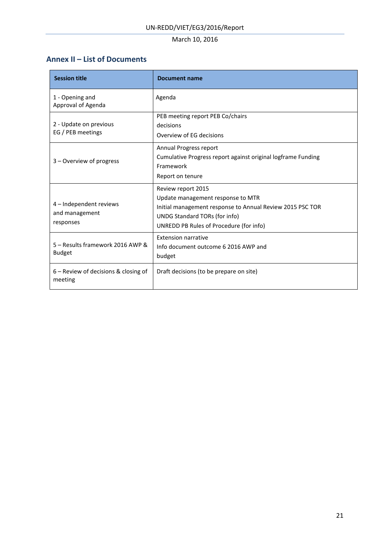# <span id="page-20-0"></span>**Annex II – List of Documents**

| <b>Session title</b>                                   | <b>Document name</b>                                                                                                                                                                             |  |  |
|--------------------------------------------------------|--------------------------------------------------------------------------------------------------------------------------------------------------------------------------------------------------|--|--|
| 1 - Opening and<br>Approval of Agenda                  | Agenda                                                                                                                                                                                           |  |  |
| 2 - Update on previous<br>EG / PEB meetings            | PEB meeting report PEB Co/chairs<br>decisions<br>Overview of EG decisions                                                                                                                        |  |  |
| 3 – Overview of progress                               | Annual Progress report<br>Cumulative Progress report against original logframe Funding<br>Framework<br>Report on tenure                                                                          |  |  |
| 4 - Independent reviews<br>and management<br>responses | Review report 2015<br>Update management response to MTR<br>Initial management response to Annual Review 2015 PSC TOR<br>UNDG Standard TORs (for info)<br>UNREDD PB Rules of Procedure (for info) |  |  |
| 5 - Results framework 2016 AWP &<br><b>Budget</b>      | <b>Extension narrative</b><br>Info document outcome 6 2016 AWP and<br>budget                                                                                                                     |  |  |
| $6$ – Review of decisions & closing of<br>meeting      | Draft decisions (to be prepare on site)                                                                                                                                                          |  |  |